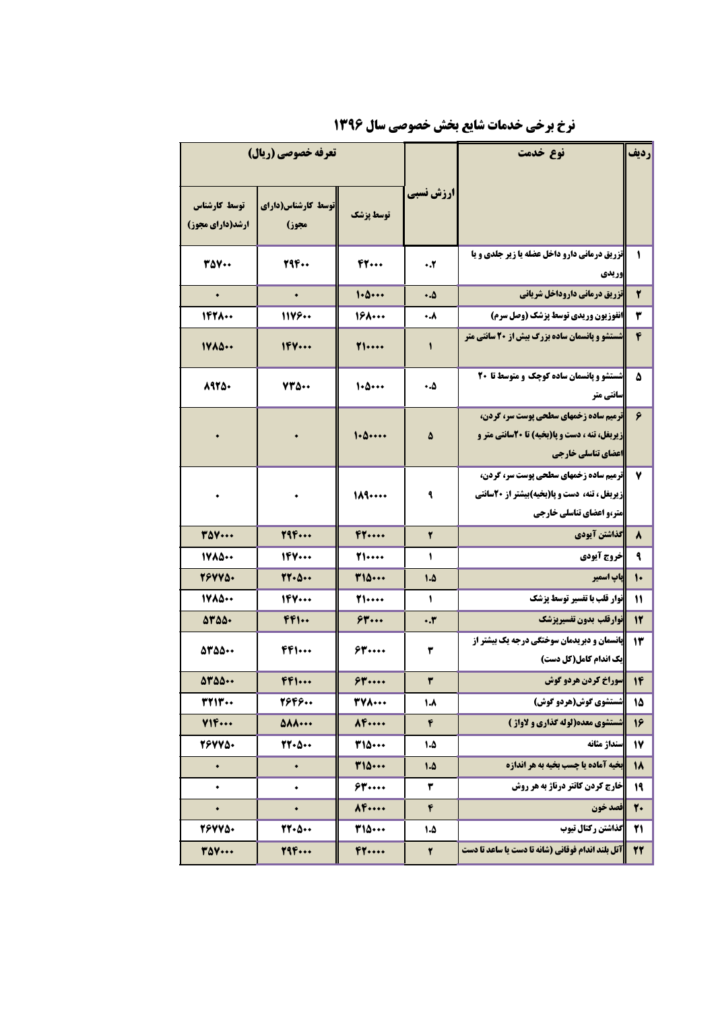| تعرفه خصوصي (ريال)                      |                             |                     |              | نوع خدمت                                                                                                                 | رديف                    |
|-----------------------------------------|-----------------------------|---------------------|--------------|--------------------------------------------------------------------------------------------------------------------------|-------------------------|
| توسط كارشناس<br><b>ارشد(دارای مجوز)</b> | توسط کارشناس(دارای<br>مجوز) | توسط يزشك           | ارزش نسبي    |                                                                                                                          |                         |
| 350 Y.                                  | 294                         | FT                  | ۰.۲          | <b>اتزریق درمانی دارو داخل عضله یا زیر جلدی و یا</b><br>وريدي                                                            | ١                       |
| $\bullet$                               | $\bullet$                   | 1.0                 | ه.٠          | تزريق درماني داروداخل شرياني                                                                                             | ۲                       |
| 1428                                    | 11199                       | $19$ $\cdots$       | ۰.۸          | انفوزیون وریدی توسط پزشک (وصل سرم)                                                                                       | ۳                       |
| 1400                                    | 164                         | 71                  | $\mathbf{I}$ | <b>شستشو و پانسمان ساده بزرگ بیش از 20 سانتی متر</b>                                                                     | ۴                       |
| 8925.                                   | 730.0                       | 1.0                 | ۵.۰          | شستشو و پانسمان ساده کوچک و متوسط تا 20<br>سانتی متر                                                                     | ٥                       |
| $\bullet$                               | $\bullet$                   | 1.0                 | ۵            | <b>ترمیم ساده زخمهای سطحی پوست سر، گردن،</b><br>زیربغل، تنه ، دست و پا(بخیه) تا 20سانتی متر و<br>اعضاي تناسلي خارجي      | ۶                       |
| ۰                                       | $\bullet$                   | 111                 | ٩            | <b>ترمیم ساده زخمهای سطحی پوست سر، گردن،</b><br>زیربغل ، تنه، دست و پا(بخیه)بیشتر از ۲۰سانتی<br>متر،و اعضاي تناسلي خارجي | ٧                       |
| <b>TAV</b>                              | 794                         | F1                  | ۲            | كذاشتن آيودي                                                                                                             | ٨                       |
| 1400                                    | 194                         | <b>T1</b>           | $\mathbf{I}$ | خروج آيودي                                                                                                               | ٩                       |
| 79775.                                  | $YY - \Delta -$             | ٣١٥٠٠٠              | 1.5          | ياپ اسمپر                                                                                                                | $\mathsf{L}$            |
| 1400                                    | 199                         | <b>T1</b>           | $\sqrt{2}$   | <b>نوار قلب با تفسیر توسط پزشک</b>                                                                                       | 11                      |
| $\Delta V \Delta \Delta$                | 441                         | 54                  | $\cdot$ .۳   | نوارقلب بدون تفسيريزشك                                                                                                   | 12                      |
| 5350.00                                 | $FF$ $\cdots$               | 63                  | ۳            | <b>پانسمان و دبریدمان سوختگی درجه یک بیشتر از</b><br>یک اندام کامل(کل دست)                                               | 13                      |
| 0700                                    | $FF$ $\cdots$               | $$$ $"$ $"$ $"$ $"$ | ٣            | سوراخ کردن هردو گوش                                                                                                      | $\mathsf{I} \mathsf{f}$ |
| <b>٣٢١٣</b>                             | 2646                        | <b>TYA</b>          | $\lambda$    | شستشوی گوش(هردو گوش)                                                                                                     | 15                      |
| Y1F                                     | <b>AAA</b>                  | $\lambda$ F         | ۴            | شستشوی معده(لوله گذاری و لاواژ )                                                                                         | 16                      |
| 767750                                  | $YY - \Delta -$             | <b>T10</b>          | 1.5          | سنداژ مثانه                                                                                                              | 17                      |
| $\bullet$                               | $\bullet$                   | 110                 | 1.4          | بخیه آماده یا چسب بخیه به هر اندازه                                                                                      | 18                      |
| $\bullet$                               | ٠                           | 54                  | ۳            | خارج کردن کاتتر درناژ به هر روش                                                                                          | 19                      |
| $\bullet$                               | $\bullet$                   | $\lambda$ F         | ۴            | فصد خون                                                                                                                  | 20                      |
| 76775.                                  | 77.8                        | <b>T10</b>          | 1.4          | گذاشتن رکتال تیوب                                                                                                        | 21                      |
| <b>TAY</b>                              | 794                         | FT                  | ٢            | آتل بلند اندام فوقانی (شانه تا دست یا ساعد تا دست                                                                        | 22                      |

نرخ برخی خدمات شایع بخش خصوصی سال ۱۳۹۶